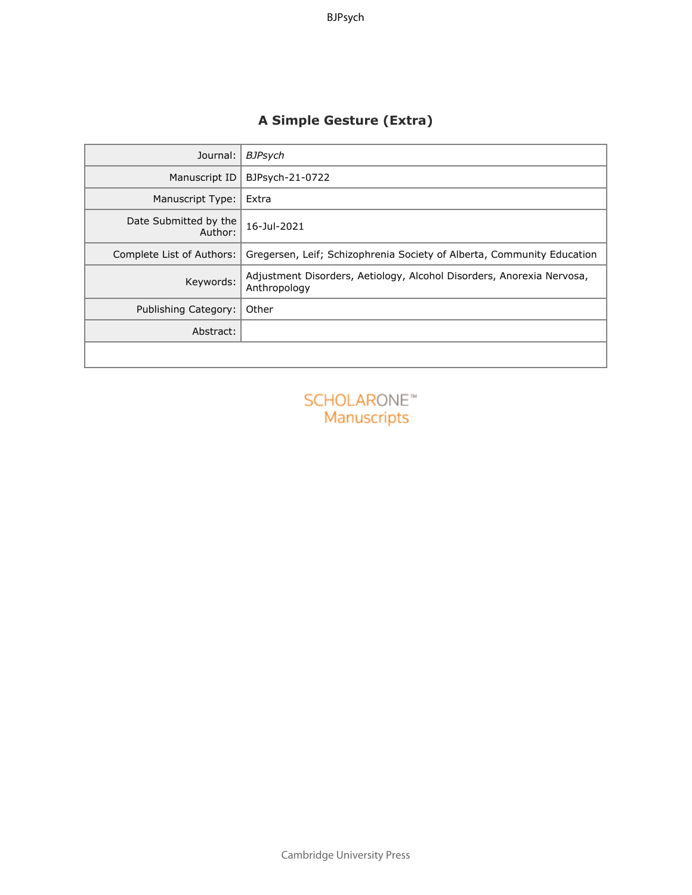## **A Simple Gesture (Extra)**

| Journal:                          | <b>BJPsych</b>                                                                        |
|-----------------------------------|---------------------------------------------------------------------------------------|
| Manuscript ID                     | BJPsych-21-0722                                                                       |
| Manuscript Type:                  | Extra                                                                                 |
| Date Submitted by the<br>Author:  | 16-Jul-2021                                                                           |
| Complete List of Authors:         | Gregersen, Leif; Schizophrenia Society of Alberta, Community Education                |
| Keywords:                         | Adjustment Disorders, Aetiology, Alcohol Disorders, Anorexia Nervosa,<br>Anthropology |
| <b>Publishing Category:</b>       | Other                                                                                 |
| Abstract:                         |                                                                                       |
|                                   |                                                                                       |
| <b>SCHOLARONE™</b><br>Manuscripts |                                                                                       |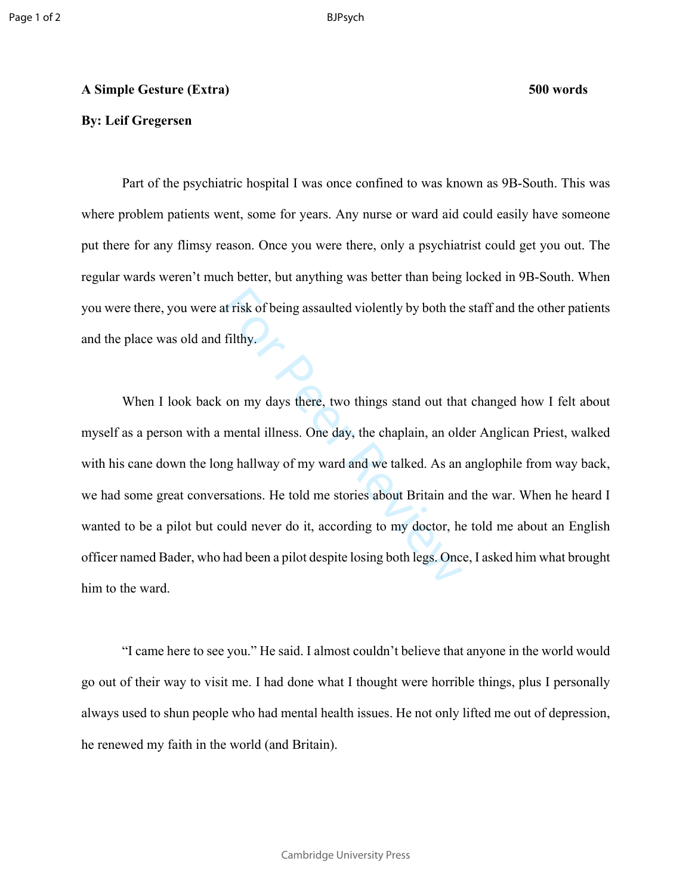## **A Simple Gesture (Extra) 500 words**

## **By: Leif Gregersen**

Part of the psychiatric hospital I was once confined to was known as 9B-South. This was where problem patients went, some for years. Any nurse or ward aid could easily have someone put there for any flimsy reason. Once you were there, only a psychiatrist could get you out. The regular wards weren't much better, but anything was better than being locked in 9B-South. When you were there, you were at risk of being assaulted violently by both the staff and the other patients and the place was old and filthy.

at risk of being assaulted violently by both the<br>filthy.<br>on my days there, two things stand out tha<br>mental illness. One day, the chaplain, an old<br>ng hallway of my ward and we talked. As an<br>rsations. He told me stories abou When I look back on my days there, two things stand out that changed how I felt about myself as a person with a mental illness. One day, the chaplain, an older Anglican Priest, walked with his cane down the long hallway of my ward and we talked. As an anglophile from way back, we had some great conversations. He told me stories about Britain and the war. When he heard I wanted to be a pilot but could never do it, according to my doctor, he told me about an English officer named Bader, who had been a pilot despite losing both legs. Once, I asked him what brought him to the ward.

"I came here to see you." He said. I almost couldn't believe that anyone in the world would go out of their way to visit me. I had done what I thought were horrible things, plus I personally always used to shun people who had mental health issues. He not only lifted me out of depression, he renewed my faith in the world (and Britain).